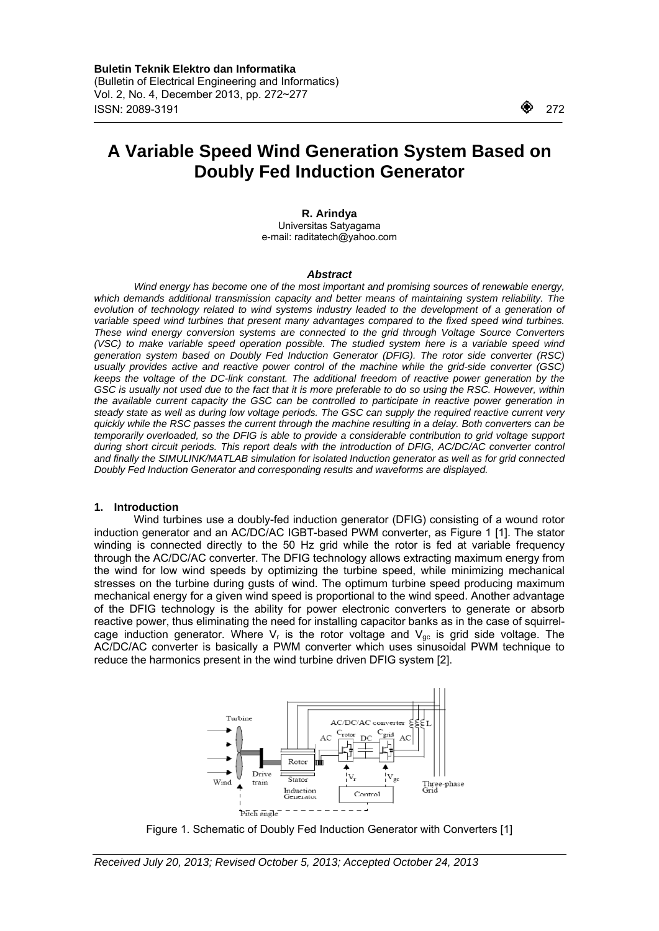$\overline{a}$ 

# **A Variable Speed Wind Generation System Based on Doubly Fed Induction Generator**

#### **R. Arindya**

Universitas Satyagama e-mail: raditatech@yahoo.com

#### *Abstract*

*Wind energy has become one of the most important and promising sources of renewable energy, which demands additional transmission capacity and better means of maintaining system reliability. The*  evolution of technology related to wind systems industry leaded to the development of a generation of *variable speed wind turbines that present many advantages compared to the fixed speed wind turbines. These wind energy conversion systems are connected to the grid through Voltage Source Converters (VSC) to make variable speed operation possible. The studied system here is a variable speed wind generation system based on Doubly Fed Induction Generator (DFIG). The rotor side converter (RSC) usually provides active and reactive power control of the machine while the grid-side converter (GSC) keeps the voltage of the DC-link constant. The additional freedom of reactive power generation by the GSC is usually not used due to the fact that it is more preferable to do so using the RSC. However, within the available current capacity the GSC can be controlled to participate in reactive power generation in steady state as well as during low voltage periods. The GSC can supply the required reactive current very quickly while the RSC passes the current through the machine resulting in a delay. Both converters can be temporarily overloaded, so the DFIG is able to provide a considerable contribution to grid voltage support during short circuit periods. This report deals with the introduction of DFIG, AC/DC/AC converter control and finally the SIMULINK/MATLAB simulation for isolated Induction generator as well as for grid connected Doubly Fed Induction Generator and corresponding results and waveforms are displayed.* 

# **1. Introduction**

Wind turbines use a doubly-fed induction generator (DFIG) consisting of a wound rotor induction generator and an AC/DC/AC IGBT-based PWM converter, as Figure 1 [1]. The stator winding is connected directly to the 50 Hz grid while the rotor is fed at variable frequency through the AC/DC/AC converter. The DFIG technology allows extracting maximum energy from the wind for low wind speeds by optimizing the turbine speed, while minimizing mechanical stresses on the turbine during gusts of wind. The optimum turbine speed producing maximum mechanical energy for a given wind speed is proportional to the wind speed. Another advantage of the DFIG technology is the ability for power electronic converters to generate or absorb reactive power, thus eliminating the need for installing capacitor banks as in the case of squirrelcage induction generator. Where  $V_f$  is the rotor voltage and  $V_{gc}$  is grid side voltage. The AC/DC/AC converter is basically a PWM converter which uses sinusoidal PWM technique to reduce the harmonics present in the wind turbine driven DFIG system [2].



Figure 1. Schematic of Doubly Fed Induction Generator with Converters [1]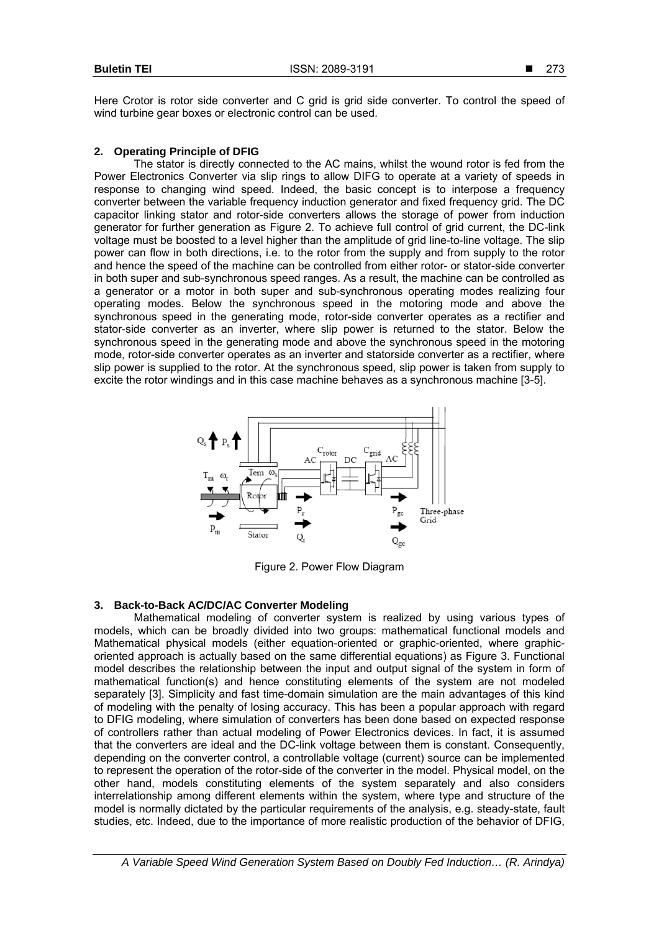Here Crotor is rotor side converter and C grid is grid side converter. To control the speed of wind turbine gear boxes or electronic control can be used.

# **2. Operating Principle of DFIG**

The stator is directly connected to the AC mains, whilst the wound rotor is fed from the Power Electronics Converter via slip rings to allow DIFG to operate at a variety of speeds in response to changing wind speed. Indeed, the basic concept is to interpose a frequency converter between the variable frequency induction generator and fixed frequency grid. The DC capacitor linking stator and rotor-side converters allows the storage of power from induction generator for further generation as Figure 2. To achieve full control of grid current, the DC-link voltage must be boosted to a level higher than the amplitude of grid line-to-line voltage. The slip power can flow in both directions, i.e. to the rotor from the supply and from supply to the rotor and hence the speed of the machine can be controlled from either rotor- or stator-side converter in both super and sub-synchronous speed ranges. As a result, the machine can be controlled as a generator or a motor in both super and sub-synchronous operating modes realizing four operating modes. Below the synchronous speed in the motoring mode and above the synchronous speed in the generating mode, rotor-side converter operates as a rectifier and stator-side converter as an inverter, where slip power is returned to the stator. Below the synchronous speed in the generating mode and above the synchronous speed in the motoring mode, rotor-side converter operates as an inverter and statorside converter as a rectifier, where slip power is supplied to the rotor. At the synchronous speed, slip power is taken from supply to excite the rotor windings and in this case machine behaves as a synchronous machine [3-5].



Figure 2. Power Flow Diagram

# **3. Back-to-Back AC/DC/AC Converter Modeling**

Mathematical modeling of converter system is realized by using various types of models, which can be broadly divided into two groups: mathematical functional models and Mathematical physical models (either equation-oriented or graphic-oriented, where graphicoriented approach is actually based on the same differential equations) as Figure 3. Functional model describes the relationship between the input and output signal of the system in form of mathematical function(s) and hence constituting elements of the system are not modeled separately [3]. Simplicity and fast time-domain simulation are the main advantages of this kind of modeling with the penalty of losing accuracy. This has been a popular approach with regard to DFIG modeling, where simulation of converters has been done based on expected response of controllers rather than actual modeling of Power Electronics devices. In fact, it is assumed that the converters are ideal and the DC-link voltage between them is constant. Consequently, depending on the converter control, a controllable voltage (current) source can be implemented to represent the operation of the rotor-side of the converter in the model. Physical model, on the other hand, models constituting elements of the system separately and also considers interrelationship among different elements within the system, where type and structure of the model is normally dictated by the particular requirements of the analysis, e.g. steady-state, fault studies, etc. Indeed, due to the importance of more realistic production of the behavior of DFIG,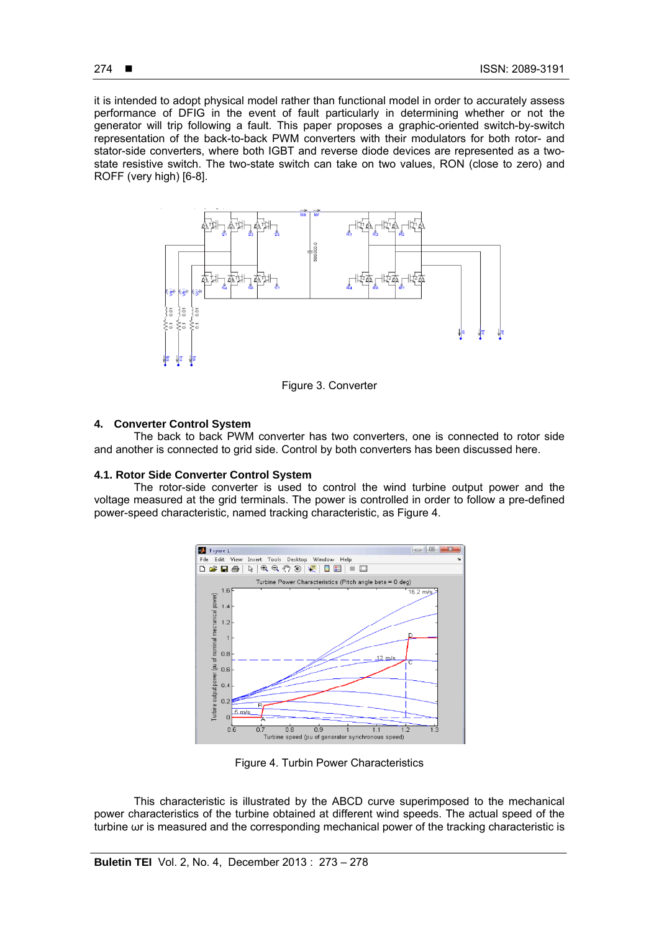it is intended to adopt physical model rather than functional model in order to accurately assess performance of DFIG in the event of fault particularly in determining whether or not the generator will trip following a fault. This paper proposes a graphic-oriented switch-by-switch representation of the back-to-back PWM converters with their modulators for both rotor- and stator-side converters, where both IGBT and reverse diode devices are represented as a twostate resistive switch. The two-state switch can take on two values, RON (close to zero) and ROFF (very high) [6-8].



Figure 3. Converter

# **4. Converter Control System**

The back to back PWM converter has two converters, one is connected to rotor side and another is connected to grid side. Control by both converters has been discussed here.

# **4.1. Rotor Side Converter Control System**

The rotor-side converter is used to control the wind turbine output power and the voltage measured at the grid terminals. The power is controlled in order to follow a pre-defined power-speed characteristic, named tracking characteristic, as Figure 4.



Figure 4. Turbin Power Characteristics

This characteristic is illustrated by the ABCD curve superimposed to the mechanical power characteristics of the turbine obtained at different wind speeds. The actual speed of the turbine ωr is measured and the corresponding mechanical power of the tracking characteristic is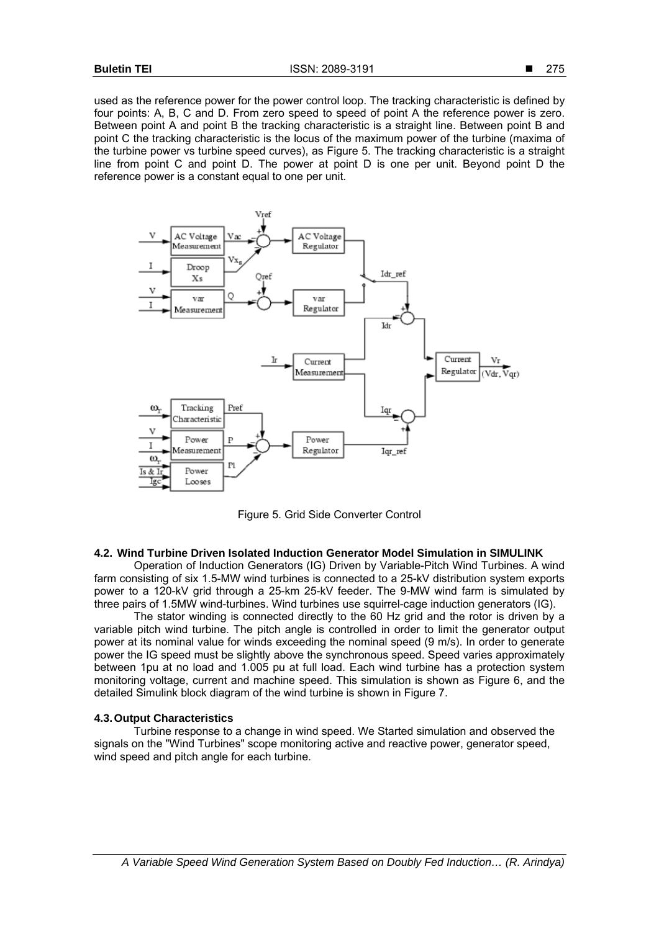used as the reference power for the power control loop. The tracking characteristic is defined by four points: A, B, C and D. From zero speed to speed of point A the reference power is zero. Between point A and point B the tracking characteristic is a straight line. Between point B and point C the tracking characteristic is the locus of the maximum power of the turbine (maxima of the turbine power vs turbine speed curves), as Figure 5. The tracking characteristic is a straight line from point C and point D. The power at point D is one per unit. Beyond point D the reference power is a constant equal to one per unit.



Figure 5. Grid Side Converter Control

# **4.2. Wind Turbine Driven Isolated Induction Generator Model Simulation in SIMULINK**

Operation of Induction Generators (IG) Driven by Variable-Pitch Wind Turbines. A wind farm consisting of six 1.5-MW wind turbines is connected to a 25-kV distribution system exports power to a 120-kV grid through a 25-km 25-kV feeder. The 9-MW wind farm is simulated by three pairs of 1.5MW wind-turbines. Wind turbines use squirrel-cage induction generators (IG).

The stator winding is connected directly to the 60 Hz grid and the rotor is driven by a variable pitch wind turbine. The pitch angle is controlled in order to limit the generator output power at its nominal value for winds exceeding the nominal speed (9 m/s). In order to generate power the IG speed must be slightly above the synchronous speed. Speed varies approximately between 1pu at no load and 1.005 pu at full load. Each wind turbine has a protection system monitoring voltage, current and machine speed. This simulation is shown as Figure 6, and the detailed Simulink block diagram of the wind turbine is shown in Figure 7.

## **4.3. Output Characteristics**

Turbine response to a change in wind speed. We Started simulation and observed the signals on the "Wind Turbines" scope monitoring active and reactive power, generator speed, wind speed and pitch angle for each turbine.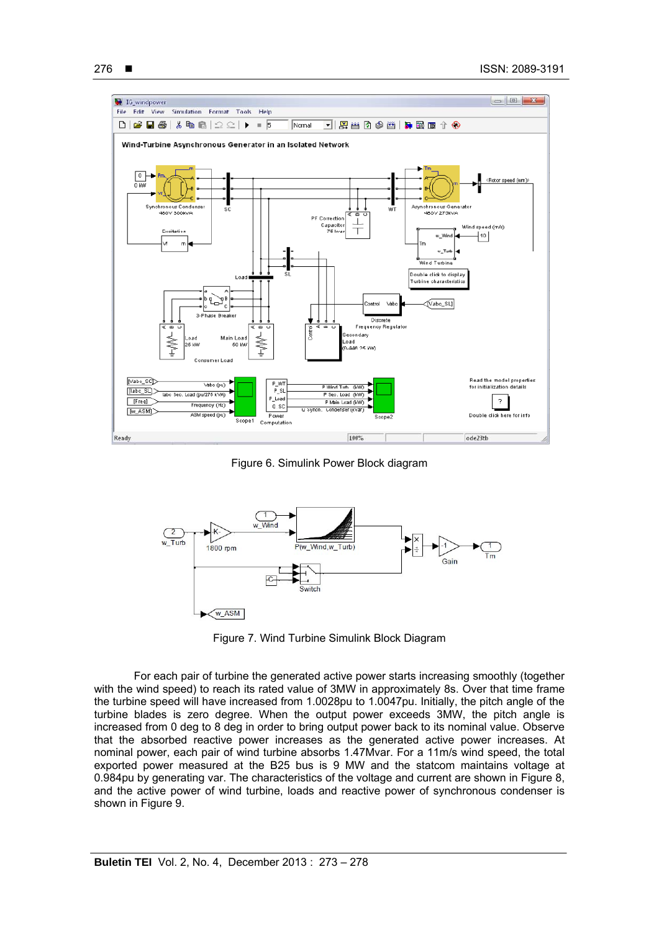

Figure 6. Simulink Power Block diagram



Figure 7. Wind Turbine Simulink Block Diagram

For each pair of turbine the generated active power starts increasing smoothly (together with the wind speed) to reach its rated value of 3MW in approximately 8s. Over that time frame the turbine speed will have increased from 1.0028pu to 1.0047pu. Initially, the pitch angle of the turbine blades is zero degree. When the output power exceeds 3MW, the pitch angle is increased from 0 deg to 8 deg in order to bring output power back to its nominal value. Observe that the absorbed reactive power increases as the generated active power increases. At nominal power, each pair of wind turbine absorbs 1.47Mvar. For a 11m/s wind speed, the total exported power measured at the B25 bus is 9 MW and the statcom maintains voltage at 0.984pu by generating var. The characteristics of the voltage and current are shown in Figure 8, and the active power of wind turbine, loads and reactive power of synchronous condenser is shown in Figure 9.